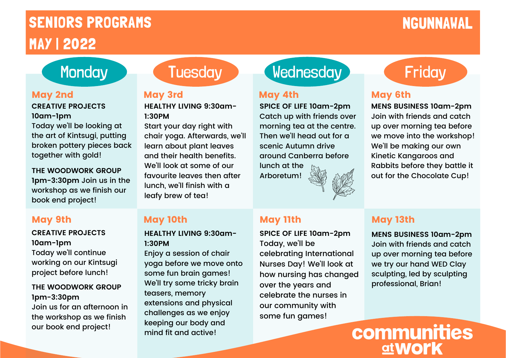# SENIORS PROGRAMS NGUNNAWAL MAY | 2022

### **CREATIVE PROJECTS 10am-1pm**

Today we'll be looking at the art of Kintsugi, putting broken pottery pieces back together with gold!

**THE WOODWORK GROUP 1pm-3:30pm** Join us in the workshop as we finish our book end project!

## May 9th

### **CREATIVE PROJECTS 10am-1pm** Today we'll continue working on our Kintsugi project before lunch!

### **THE WOODWORK GROUP 1pm-3:30pm**

Join us for an afternoon in the workshop as we finish our book end project!

# May 2nd May 3rd May 4th

**HEALTHY LIVING 9:30am-1:30PM**

Start your day right with chair yoga. Afterwards, we'll learn about plant leaves and their health benefits. We'll look at some of our favourite leaves then after lunch, we'll finish with a leafy brew of tea!

## May 10th May 11th May 13th

**HEALTHY LIVING 9:30am-1:30PM**

Enjoy a session of chair yoga before we move onto some fun brain games! We'll try some tricky brain teasers, memory extensions and physical challenges as we enjoy keeping our body and mind fit and active!

# Monday Tuesday Wednesday Friday

**SPICE OF LIFE 10am-2pm** Catch up with friends over morning tea at the centre. Then we'll head out for a scenic Autumn drive around Canberra before lunch at the

Arboretum!



**SPICE OF LIFE 10am-2pm** Today, we'll be celebrating International Nurses Day! We'll look at how nursing has changed over the years and celebrate the nurses in our community with some fun games!

## May 6th

**MENS BUSINESS 10am-2pm** Join with friends and catch up over morning tea before we move into the workshop! We'll be making our own Kinetic Kangaroos and Rabbits before they battle it out for the Chocolate Cup!

**MENS BUSINESS 10am-2pm** Join with friends and catch up over morning tea before we try our hand WED Clay sculpting, led by sculpting professional, Brian!

communities <u>at Work</u>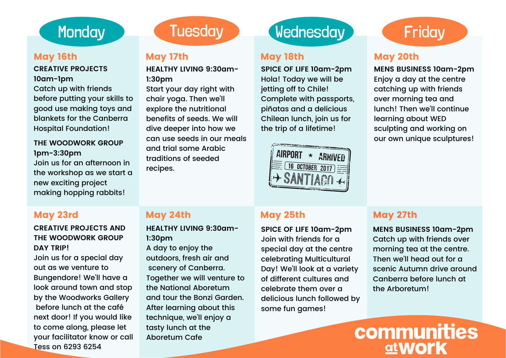### May 16th May 17th May 18th

### **CREATIVE PROJECTS 10am-1pm**

Catch up with friends before putting your skills to good use making toys and blankets for the Canberra Hospital Foundation!

### **THE WOODWORK GROUP 1pm-3:30pm** Join us for an afternoon in the workshop as we start a new exciting project making hopping rabbits!

**HEALTHY LIVING 9:30am-1:30pm** Start your day right with chair yoga. Then we'll explore the nutritional benefits of seeds. We will dive deeper into how we can use seeds in our meals and trial some Arabic traditions of seeded recipes.

# Monday **Tuesday Wednesday**

**SPICE OF LIFE 10am-2pm** Hola! Today we will be jetting off to Chile! Complete with passports, piñatas and a delicious Chilean lunch, join us for the trip of a lifetime!



# **Friday**

## May 20th

**MENS BUSINESS 10am-2pm** Enjoy a day at the centre catching up with friends over morning tea and lunch! Then we'll continue learning about WED sculpting and working on our own unique sculptures!

### **CREATIVE PROJECTS AND THE WOODWORK GROUP DAY TRIP!**

Join us for a special day out as we venture to Bungendore! We'll have a look around town and stop by the Woodworks Gallery before lunch at the café next door! If you would like to come along, please let your facilitator know or call Tess on 6293 6254

**HEALTHY LIVING 9:30am-1:30pm**

A day to enjoy the outdoors, fresh air and scenery of Canberra. Together we will venture to the National Aboretum and tour the Bonzi Garden. After learning about this technique, we'll enjoy a tasty lunch at the Aboretum Cafe

## May 23rd May 24th May 25th May 27th

**SPICE OF LIFE 10am-2pm** Join with friends for a special day at the centre celebrating Multicultural Day! We'll look at a variety of different cultures and celebrate them over a delicious lunch followed by some fun games!

**MENS BUSINESS 10am-2pm** Catch up with friends over morning tea at the centre. Then we'll head out for a scenic Autumn drive around Canberra before lunch at the Arboretum!

communities <u>at WOI'K</u>